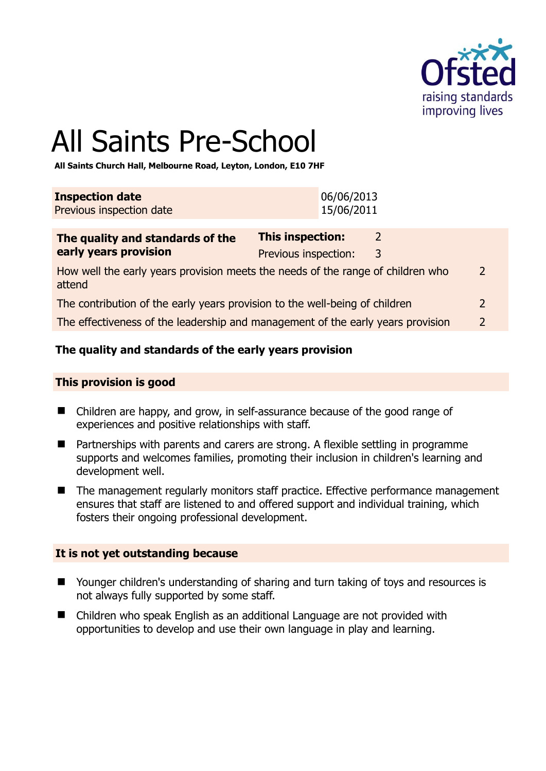

2

# All Saints Pre-School

**All Saints Church Hall, Melbourne Road, Leyton, London, E10 7HF** 

| <b>Inspection date</b><br>Previous inspection date                              |                                                 | 06/06/2013<br>15/06/2011 |                    |  |
|---------------------------------------------------------------------------------|-------------------------------------------------|--------------------------|--------------------|--|
| The quality and standards of the<br>early years provision                       | <b>This inspection:</b><br>Previous inspection: |                          | $\mathcal{L}$<br>3 |  |
| How well the early years provision meets the needs of the range of children who |                                                 |                          |                    |  |

attend The contribution of the early years provision to the well-being of children 2

The effectiveness of the leadership and management of the early years provision 2

#### **The quality and standards of the early years provision**

#### **This provision is good**

- Children are happy, and grow, in self-assurance because of the good range of experiences and positive relationships with staff.
- Partnerships with parents and carers are strong. A flexible settling in programme supports and welcomes families, promoting their inclusion in children's learning and development well.
- The management regularly monitors staff practice. Effective performance management ensures that staff are listened to and offered support and individual training, which fosters their ongoing professional development.

#### **It is not yet outstanding because**

- Younger children's understanding of sharing and turn taking of toys and resources is not always fully supported by some staff.
- Children who speak English as an additional Language are not provided with opportunities to develop and use their own language in play and learning.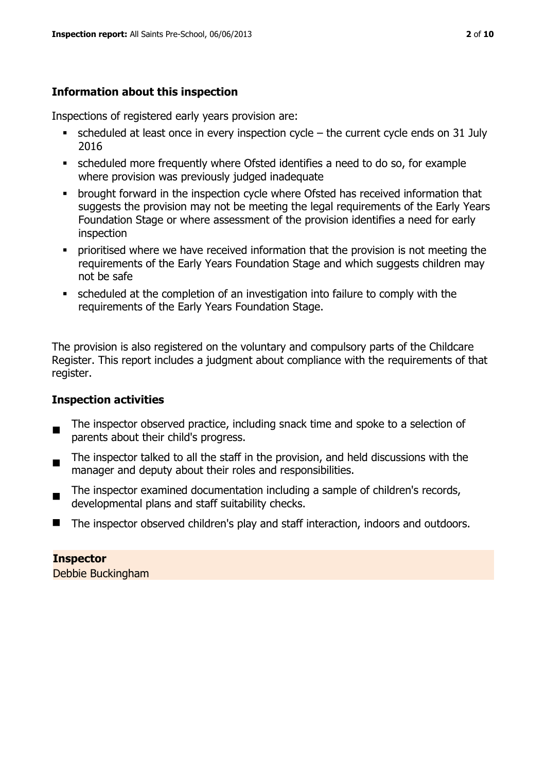# **Information about this inspection**

Inspections of registered early years provision are:

- $\bullet$  scheduled at least once in every inspection cycle the current cycle ends on 31 July 2016
- scheduled more frequently where Ofsted identifies a need to do so, for example where provision was previously judged inadequate
- **•** brought forward in the inspection cycle where Ofsted has received information that suggests the provision may not be meeting the legal requirements of the Early Years Foundation Stage or where assessment of the provision identifies a need for early inspection
- **•** prioritised where we have received information that the provision is not meeting the requirements of the Early Years Foundation Stage and which suggests children may not be safe
- scheduled at the completion of an investigation into failure to comply with the requirements of the Early Years Foundation Stage.

The provision is also registered on the voluntary and compulsory parts of the Childcare Register. This report includes a judgment about compliance with the requirements of that register.

# **Inspection activities**

- $\blacksquare$ The inspector observed practice, including snack time and spoke to a selection of parents about their child's progress.
- The inspector talked to all the staff in the provision, and held discussions with the manager and deputy about their roles and responsibilities.
- The inspector examined documentation including a sample of children's records, developmental plans and staff suitability checks.
- The inspector observed children's play and staff interaction, indoors and outdoors.

#### **Inspector**

Debbie Buckingham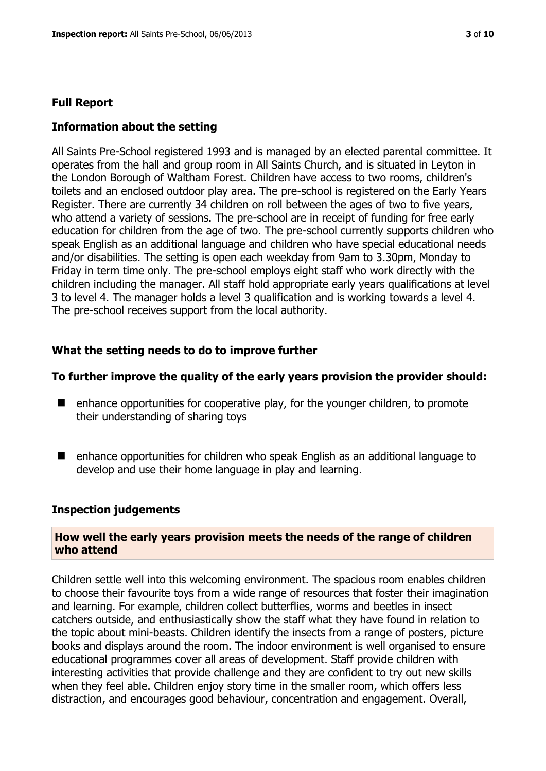### **Full Report**

#### **Information about the setting**

All Saints Pre-School registered 1993 and is managed by an elected parental committee. It operates from the hall and group room in All Saints Church, and is situated in Leyton in the London Borough of Waltham Forest. Children have access to two rooms, children's toilets and an enclosed outdoor play area. The pre-school is registered on the Early Years Register. There are currently 34 children on roll between the ages of two to five years, who attend a variety of sessions. The pre-school are in receipt of funding for free early education for children from the age of two. The pre-school currently supports children who speak English as an additional language and children who have special educational needs and/or disabilities. The setting is open each weekday from 9am to 3.30pm, Monday to Friday in term time only. The pre-school employs eight staff who work directly with the children including the manager. All staff hold appropriate early years qualifications at level 3 to level 4. The manager holds a level 3 qualification and is working towards a level 4. The pre-school receives support from the local authority.

#### **What the setting needs to do to improve further**

#### **To further improve the quality of the early years provision the provider should:**

- $\blacksquare$  enhance opportunities for cooperative play, for the younger children, to promote their understanding of sharing toys
- enhance opportunities for children who speak English as an additional language to develop and use their home language in play and learning.

#### **Inspection judgements**

#### **How well the early years provision meets the needs of the range of children who attend**

Children settle well into this welcoming environment. The spacious room enables children to choose their favourite toys from a wide range of resources that foster their imagination and learning. For example, children collect butterflies, worms and beetles in insect catchers outside, and enthusiastically show the staff what they have found in relation to the topic about mini-beasts. Children identify the insects from a range of posters, picture books and displays around the room. The indoor environment is well organised to ensure educational programmes cover all areas of development. Staff provide children with interesting activities that provide challenge and they are confident to try out new skills when they feel able. Children enjoy story time in the smaller room, which offers less distraction, and encourages good behaviour, concentration and engagement. Overall,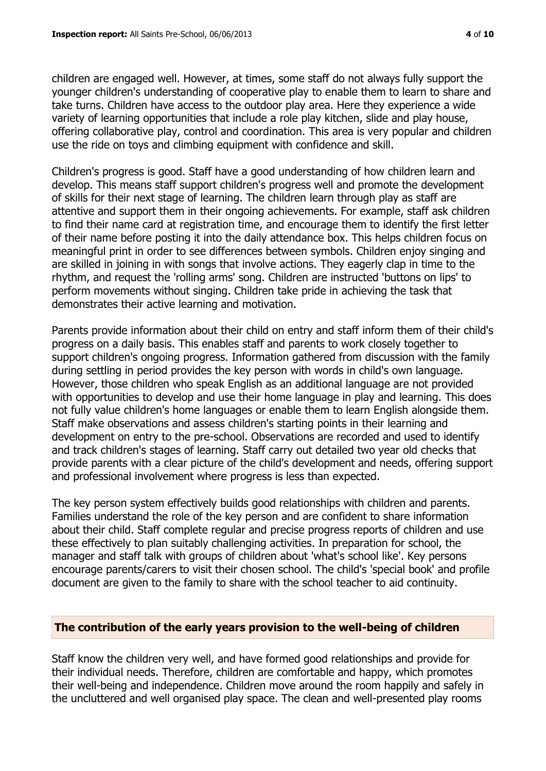children are engaged well. However, at times, some staff do not always fully support the younger children's understanding of cooperative play to enable them to learn to share and take turns. Children have access to the outdoor play area. Here they experience a wide variety of learning opportunities that include a role play kitchen, slide and play house, offering collaborative play, control and coordination. This area is very popular and children use the ride on toys and climbing equipment with confidence and skill.

Children's progress is good. Staff have a good understanding of how children learn and develop. This means staff support children's progress well and promote the development of skills for their next stage of learning. The children learn through play as staff are attentive and support them in their ongoing achievements. For example, staff ask children to find their name card at registration time, and encourage them to identify the first letter of their name before posting it into the daily attendance box. This helps children focus on meaningful print in order to see differences between symbols. Children enjoy singing and are skilled in joining in with songs that involve actions. They eagerly clap in time to the rhythm, and request the 'rolling arms' song. Children are instructed 'buttons on lips' to perform movements without singing. Children take pride in achieving the task that demonstrates their active learning and motivation.

Parents provide information about their child on entry and staff inform them of their child's progress on a daily basis. This enables staff and parents to work closely together to support children's ongoing progress. Information gathered from discussion with the family during settling in period provides the key person with words in child's own language. However, those children who speak English as an additional language are not provided with opportunities to develop and use their home language in play and learning. This does not fully value children's home languages or enable them to learn English alongside them. Staff make observations and assess children's starting points in their learning and development on entry to the pre-school. Observations are recorded and used to identify and track children's stages of learning. Staff carry out detailed two year old checks that provide parents with a clear picture of the child's development and needs, offering support and professional involvement where progress is less than expected.

The key person system effectively builds good relationships with children and parents. Families understand the role of the key person and are confident to share information about their child. Staff complete regular and precise progress reports of children and use these effectively to plan suitably challenging activities. In preparation for school, the manager and staff talk with groups of children about 'what's school like'. Key persons encourage parents/carers to visit their chosen school. The child's 'special book' and profile document are given to the family to share with the school teacher to aid continuity.

#### **The contribution of the early years provision to the well-being of children**

Staff know the children very well, and have formed good relationships and provide for their individual needs. Therefore, children are comfortable and happy, which promotes their well-being and independence. Children move around the room happily and safely in the uncluttered and well organised play space. The clean and well-presented play rooms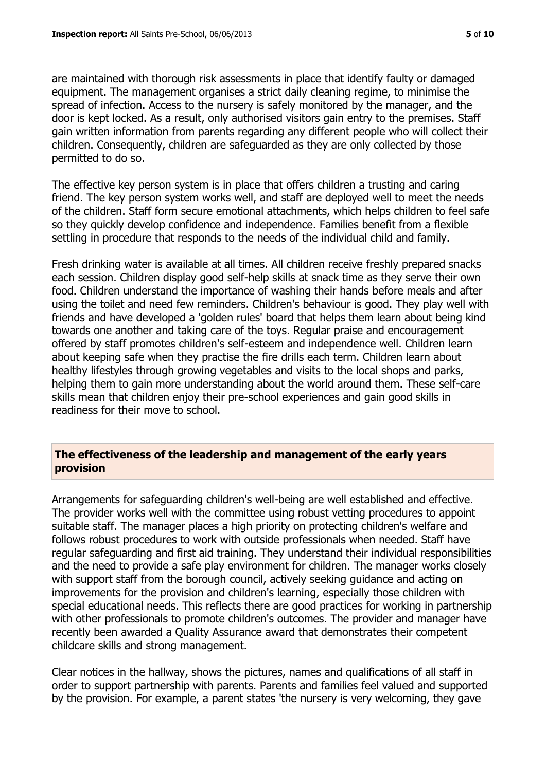are maintained with thorough risk assessments in place that identify faulty or damaged equipment. The management organises a strict daily cleaning regime, to minimise the spread of infection. Access to the nursery is safely monitored by the manager, and the door is kept locked. As a result, only authorised visitors gain entry to the premises. Staff gain written information from parents regarding any different people who will collect their children. Consequently, children are safeguarded as they are only collected by those permitted to do so.

The effective key person system is in place that offers children a trusting and caring friend. The key person system works well, and staff are deployed well to meet the needs of the children. Staff form secure emotional attachments, which helps children to feel safe so they quickly develop confidence and independence. Families benefit from a flexible settling in procedure that responds to the needs of the individual child and family.

Fresh drinking water is available at all times. All children receive freshly prepared snacks each session. Children display good self-help skills at snack time as they serve their own food. Children understand the importance of washing their hands before meals and after using the toilet and need few reminders. Children's behaviour is good. They play well with friends and have developed a 'golden rules' board that helps them learn about being kind towards one another and taking care of the toys. Regular praise and encouragement offered by staff promotes children's self-esteem and independence well. Children learn about keeping safe when they practise the fire drills each term. Children learn about healthy lifestyles through growing vegetables and visits to the local shops and parks, helping them to gain more understanding about the world around them. These self-care skills mean that children enjoy their pre-school experiences and gain good skills in readiness for their move to school.

#### **The effectiveness of the leadership and management of the early years provision**

Arrangements for safeguarding children's well-being are well established and effective. The provider works well with the committee using robust vetting procedures to appoint suitable staff. The manager places a high priority on protecting children's welfare and follows robust procedures to work with outside professionals when needed. Staff have regular safeguarding and first aid training. They understand their individual responsibilities and the need to provide a safe play environment for children. The manager works closely with support staff from the borough council, actively seeking guidance and acting on improvements for the provision and children's learning, especially those children with special educational needs. This reflects there are good practices for working in partnership with other professionals to promote children's outcomes. The provider and manager have recently been awarded a Quality Assurance award that demonstrates their competent childcare skills and strong management.

Clear notices in the hallway, shows the pictures, names and qualifications of all staff in order to support partnership with parents. Parents and families feel valued and supported by the provision. For example, a parent states 'the nursery is very welcoming, they gave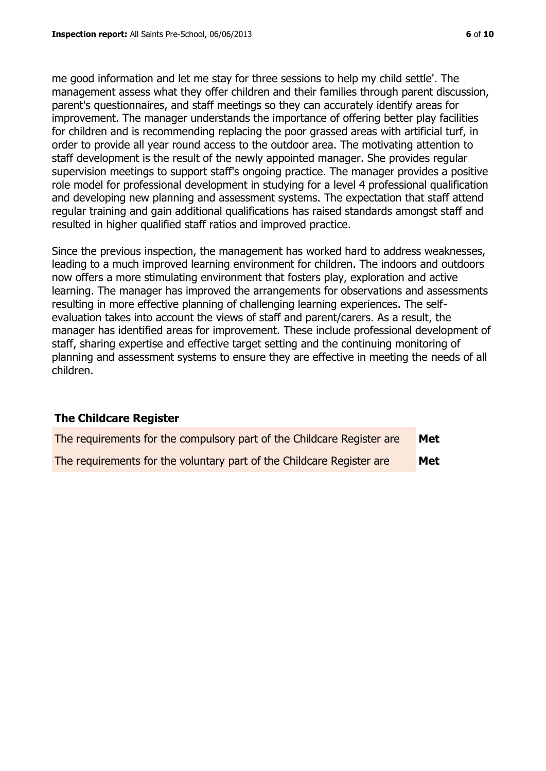me good information and let me stay for three sessions to help my child settle'. The management assess what they offer children and their families through parent discussion, parent's questionnaires, and staff meetings so they can accurately identify areas for improvement. The manager understands the importance of offering better play facilities for children and is recommending replacing the poor grassed areas with artificial turf, in order to provide all year round access to the outdoor area. The motivating attention to staff development is the result of the newly appointed manager. She provides regular supervision meetings to support staff's ongoing practice. The manager provides a positive role model for professional development in studying for a level 4 professional qualification and developing new planning and assessment systems. The expectation that staff attend regular training and gain additional qualifications has raised standards amongst staff and resulted in higher qualified staff ratios and improved practice.

Since the previous inspection, the management has worked hard to address weaknesses, leading to a much improved learning environment for children. The indoors and outdoors now offers a more stimulating environment that fosters play, exploration and active learning. The manager has improved the arrangements for observations and assessments resulting in more effective planning of challenging learning experiences. The selfevaluation takes into account the views of staff and parent/carers. As a result, the manager has identified areas for improvement. These include professional development of staff, sharing expertise and effective target setting and the continuing monitoring of planning and assessment systems to ensure they are effective in meeting the needs of all children.

#### **The Childcare Register**

| The requirements for the compulsory part of the Childcare Register are | Met |
|------------------------------------------------------------------------|-----|
| The requirements for the voluntary part of the Childcare Register are  | Met |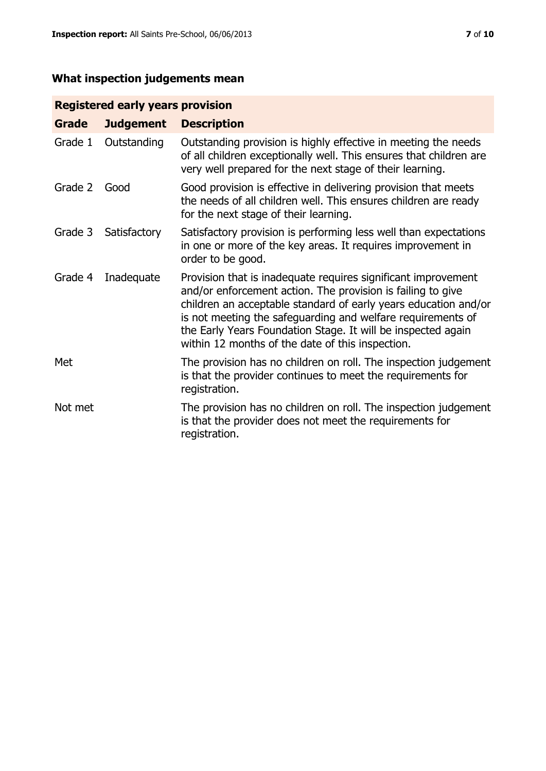# **What inspection judgements mean**

# **Registered early years provision**

| <b>Grade</b> | <b>Judgement</b> | <b>Description</b>                                                                                                                                                                                                                                                                                                                                                                 |
|--------------|------------------|------------------------------------------------------------------------------------------------------------------------------------------------------------------------------------------------------------------------------------------------------------------------------------------------------------------------------------------------------------------------------------|
| Grade 1      | Outstanding      | Outstanding provision is highly effective in meeting the needs<br>of all children exceptionally well. This ensures that children are<br>very well prepared for the next stage of their learning.                                                                                                                                                                                   |
| Grade 2      | Good             | Good provision is effective in delivering provision that meets<br>the needs of all children well. This ensures children are ready<br>for the next stage of their learning.                                                                                                                                                                                                         |
| Grade 3      | Satisfactory     | Satisfactory provision is performing less well than expectations<br>in one or more of the key areas. It requires improvement in<br>order to be good.                                                                                                                                                                                                                               |
| Grade 4      | Inadequate       | Provision that is inadequate requires significant improvement<br>and/or enforcement action. The provision is failing to give<br>children an acceptable standard of early years education and/or<br>is not meeting the safeguarding and welfare requirements of<br>the Early Years Foundation Stage. It will be inspected again<br>within 12 months of the date of this inspection. |
| Met          |                  | The provision has no children on roll. The inspection judgement<br>is that the provider continues to meet the requirements for<br>registration.                                                                                                                                                                                                                                    |
| Not met      |                  | The provision has no children on roll. The inspection judgement<br>is that the provider does not meet the requirements for<br>registration.                                                                                                                                                                                                                                        |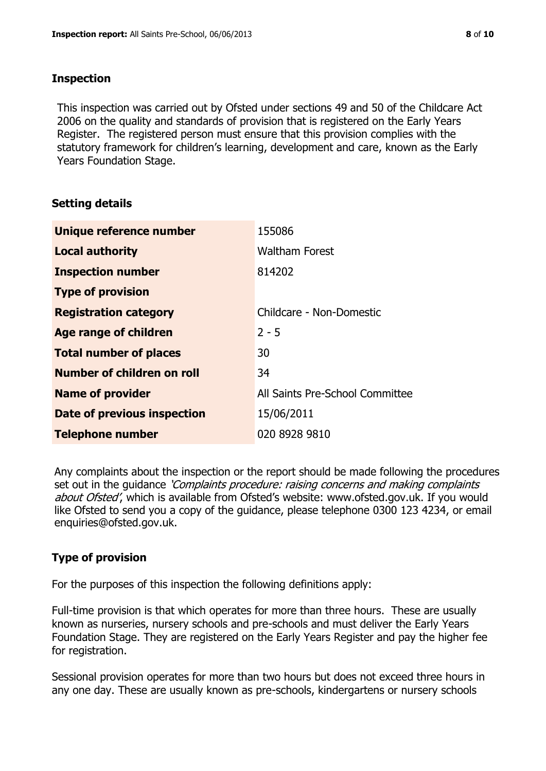# **Inspection**

This inspection was carried out by Ofsted under sections 49 and 50 of the Childcare Act 2006 on the quality and standards of provision that is registered on the Early Years Register. The registered person must ensure that this provision complies with the statutory framework for children's learning, development and care, known as the Early Years Foundation Stage.

# **Setting details**

| Unique reference number            | 155086                          |
|------------------------------------|---------------------------------|
| <b>Local authority</b>             | <b>Waltham Forest</b>           |
| <b>Inspection number</b>           | 814202                          |
| <b>Type of provision</b>           |                                 |
| <b>Registration category</b>       | Childcare - Non-Domestic        |
| Age range of children              | $2 - 5$                         |
| <b>Total number of places</b>      | 30                              |
| Number of children on roll         | 34                              |
| <b>Name of provider</b>            | All Saints Pre-School Committee |
| <b>Date of previous inspection</b> | 15/06/2011                      |
| <b>Telephone number</b>            | 020 8928 9810                   |

Any complaints about the inspection or the report should be made following the procedures set out in the guidance *'Complaints procedure: raising concerns and making complaints* about Ofsted', which is available from Ofsted's website: www.ofsted.gov.uk. If you would like Ofsted to send you a copy of the guidance, please telephone 0300 123 4234, or email enquiries@ofsted.gov.uk.

# **Type of provision**

For the purposes of this inspection the following definitions apply:

Full-time provision is that which operates for more than three hours. These are usually known as nurseries, nursery schools and pre-schools and must deliver the Early Years Foundation Stage. They are registered on the Early Years Register and pay the higher fee for registration.

Sessional provision operates for more than two hours but does not exceed three hours in any one day. These are usually known as pre-schools, kindergartens or nursery schools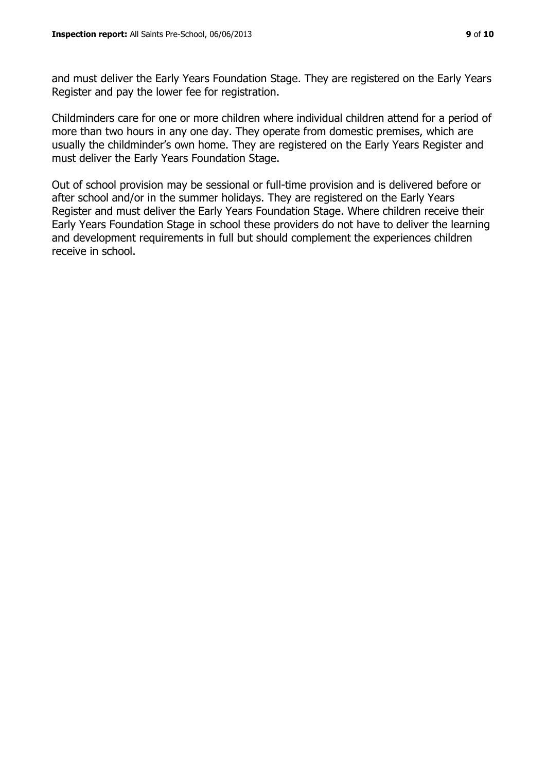Register and pay the lower fee for registration.

and must deliver the Early Years Foundation Stage. They are registered on the Early Years

Childminders care for one or more children where individual children attend for a period of more than two hours in any one day. They operate from domestic premises, which are usually the childminder's own home. They are registered on the Early Years Register and must deliver the Early Years Foundation Stage.

Out of school provision may be sessional or full-time provision and is delivered before or after school and/or in the summer holidays. They are registered on the Early Years Register and must deliver the Early Years Foundation Stage. Where children receive their Early Years Foundation Stage in school these providers do not have to deliver the learning and development requirements in full but should complement the experiences children receive in school.